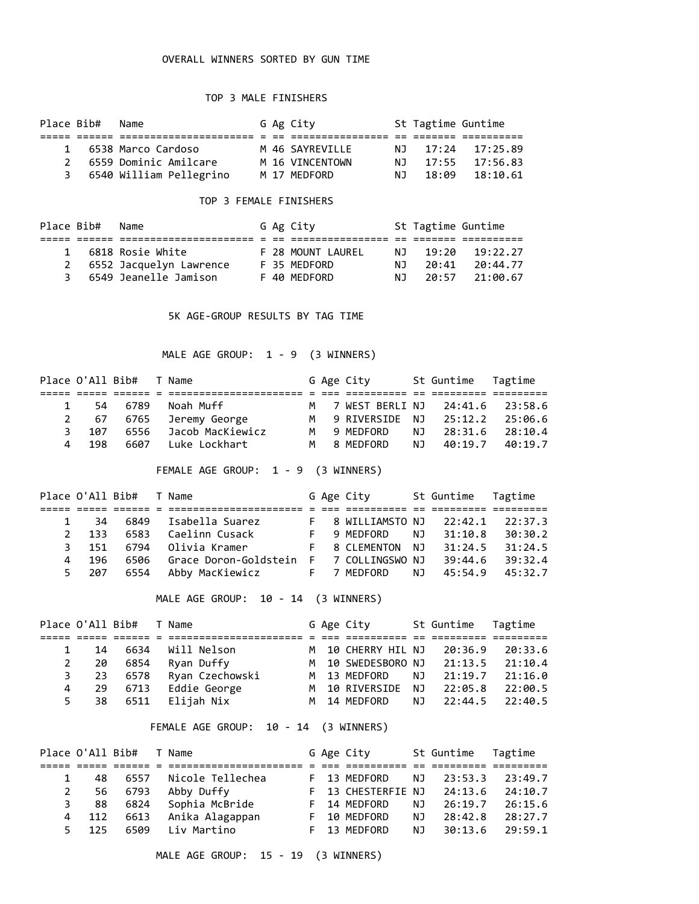### OVERALL WINNERS SORTED BY GUN TIME

### TOP 3 MALE FINISHERS

| Place Bib#    | Name                    |  | G Ag City       |     | St Tagtime Guntime |                    |
|---------------|-------------------------|--|-----------------|-----|--------------------|--------------------|
|               |                         |  |                 |     |                    |                    |
| $\mathbf{1}$  | 6538 Marco Cardoso      |  | M 46 SAYREVTLLE |     |                    | N.J 17:24 17:25.89 |
| $\mathcal{P}$ | 6559 Dominic Amilcare   |  | M 16 VINCENTOWN |     |                    | N.J 17:55 17:56.83 |
| 3             | 6540 William Pellegrino |  | M 17 MEDFORD    | NJ. |                    | 18:09 18:10.61     |

### TOP 3 FEMALE FINISHERS

|   | Place Bib# Name |                         |  | G Ag City         |     | St Tagtime Guntime |                    |
|---|-----------------|-------------------------|--|-------------------|-----|--------------------|--------------------|
|   |                 |                         |  |                   |     |                    |                    |
|   |                 | 6818 Rosie White        |  | F 28 MOUNT LAUREL | N J |                    | $19:20$ $19:22.27$ |
| 2 |                 | 6552 Jacquelyn Lawrence |  | F 35 MEDFORD      | N T | 20:41              | 20:44.77           |
| 3 |                 | 6549 Jeanelle Jamison   |  | F 40 MFDFORD      | N T |                    | 20:57 21:00.67     |

5K AGE-GROUP RESULTS BY TAG TIME

MALE AGE GROUP: 1 - 9 (3 WINNERS)

|             | Place O'All Bib# |      | T Name           |  | G Age City       |     | St Guntime Tagtime |                 |
|-------------|------------------|------|------------------|--|------------------|-----|--------------------|-----------------|
|             |                  |      |                  |  |                  |     |                    |                 |
|             | 54               | 6789 | Noah Muff        |  | M 7 WEST BERLINJ |     |                    | 24:41.6 23:58.6 |
| $2^{\circ}$ | 67               | 6765 | Jeremy George    |  | M 9 RIVERSIDE NJ |     | 25:12.2            | 25:06.6         |
| 3.          | 107              | 6556 | Jacob MacKiewicz |  | M 9 MEDFORD      | NJ. | 28:31.6            | 28:10.4         |
| 4           | 198              | 6607 | Luke Lockhart    |  | M 8 MFDFORD      | NJ. | 40:19.7            | 40:19.7         |

FEMALE AGE GROUP: 1 - 9 (3 WINNERS)

|               | Place O'All Bib# |      | T Name                |  | G Age City        |     | St Guntime Tagtime |         |
|---------------|------------------|------|-----------------------|--|-------------------|-----|--------------------|---------|
|               |                  |      |                       |  |                   |     |                    |         |
|               | -34              | 6849 | Isabella Suarez       |  | F 8 WILLIAMSTO NJ |     | 22:42.1            | 22:37.3 |
| $\mathcal{P}$ | 133              | 6583 | Caelinn Cusack        |  | F 9 MEDFORD       | NJ. | 31:10.8            | 30:30.2 |
| 3             | 151              | 6794 | Olivia Kramer         |  | F 8 CLEMENTON NJ  |     | 31:24.5            | 31:24.5 |
| 4             | 196              | 6506 | Grace Doron-Goldstein |  | F 7 COLLINGSWO NJ |     | 39:44.6            | 39:32.4 |
| 5.            | 207              | 6554 | Abby MacKiewicz       |  | F 7 MEDFORD       | NJ. | 45:54.9            | 45:32.7 |

MALE AGE GROUP: 10 - 14 (3 WINNERS)

|              | Place O'All Bib# |      | T Name          |  | G Age City         |     | St Guntime Tagtime |         |
|--------------|------------------|------|-----------------|--|--------------------|-----|--------------------|---------|
|              |                  |      |                 |  |                    |     |                    |         |
| $\mathbf{1}$ | 14               | 6634 | Will Nelson     |  | M 10 CHERRY HIL NJ |     | 20:36.9            | 20:33.6 |
|              | -20              | 6854 | Ryan Duffy      |  | M 10 SWEDESBORO NJ |     | 21:13.5            | 21:10.4 |
| 3            | -23              | 6578 | Ryan Czechowski |  | M 13 MEDFORD       | NJ. | 21:19.7            | 21:16.0 |
| 4            | 29               | 6713 | Eddie George    |  | M 10 RIVERSIDE     | NJ. | 22:05.8            | 22:00.5 |
| 5.           | 38               | 6511 | Elijah Nix      |  | M 14 MEDFORD       |     | NJ 22:44.5         | 22:40.5 |

FEMALE AGE GROUP: 10 - 14 (3 WINNERS)

|             | Place O'All Bib# |      | T Name           |  | G Age City         |     | St Guntime Tagtime |         |
|-------------|------------------|------|------------------|--|--------------------|-----|--------------------|---------|
|             |                  |      |                  |  |                    |     |                    |         |
|             | 48.              | 6557 | Nicole Tellechea |  | F 13 MEDFORD       | NJ. | 23:53.3            | 23:49.7 |
| $2^{\circ}$ | 56               | 6793 | Abby Duffy       |  | F 13 CHESTERFIE NJ |     | 24:13.6            | 24:10.7 |
| 3.          | 88               | 6824 | Sophia McBride   |  | F 14 MEDFORD       | NJ. | 26:19.7            | 26:15.6 |
| 4           | 112              | 6613 | Anika Alagappan  |  | F 10 MEDFORD       | NJ. | 28:42.8            | 28:27.7 |
| 5.          | 125              | 6509 | Liv Martino      |  | F 13 MEDFORD       | NJ. | 30:13.6            | 29:59.1 |

MALE AGE GROUP: 15 - 19 (3 WINNERS)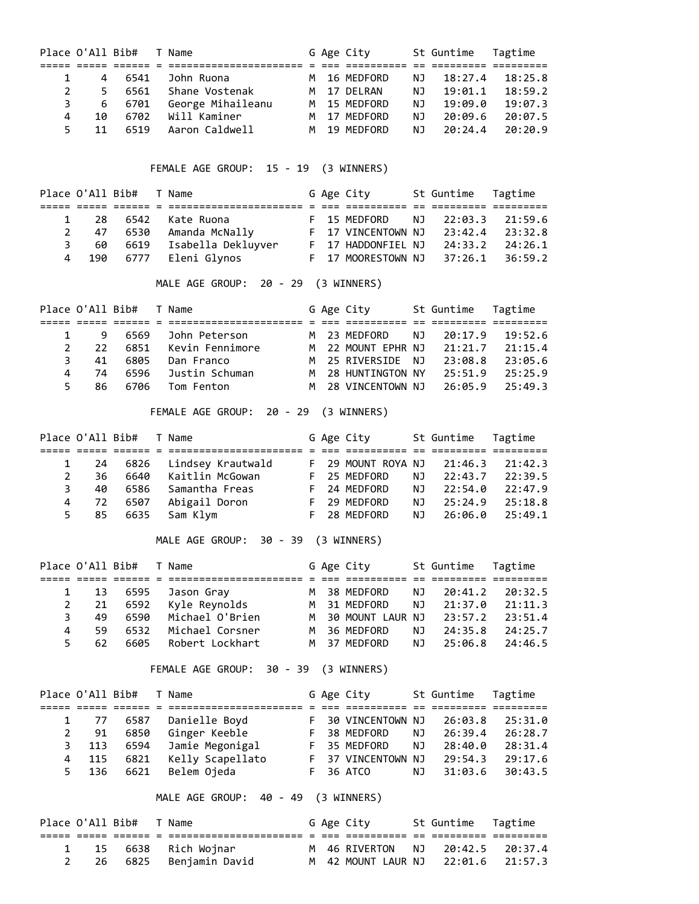|    | Place O'All Bib# |      | Name              |   | G Age City   |     | St Guntime | Tagtime |
|----|------------------|------|-------------------|---|--------------|-----|------------|---------|
|    |                  |      |                   |   |              |     |            |         |
|    | 4                | 6541 | John Ruona        |   | M 16 MEDFORD | ΝJ  | 18:27.4    | 18:25.8 |
| 2  | 5.               | 6561 | Shane Vostenak    |   | M 17 DFIRAN  | ΝJ  | 19:01.1    | 18:59.2 |
| 3  | 6                | 6701 | George Mihaileanu |   | M 15 MEDFORD | ΝJ  | 19:09.0    | 19:07.3 |
| 4  | 10               | 6702 | Will Kaminer      | M | 17 MFDFORD   | ΝJ  | 20:09.6    | 20:07.5 |
| 5. | 11               | 6519 | Aaron Caldwell    |   | M 19 MFDFORD | NJ. | 20:24.4    | 20:20.9 |

FEMALE AGE GROUP: 15 - 19 (3 WINNERS)

|    | Place O'All Bib# |          | T Name             |  | G Age City         |    | St Guntime Tagtime |                     |
|----|------------------|----------|--------------------|--|--------------------|----|--------------------|---------------------|
|    |                  |          |                    |  |                    |    |                    |                     |
|    | -28              | 6542     | Kate Ruona         |  | F 15 MEDFORD       | NJ | 22:03.3            | 21:59.6             |
| 2  | -47              | 6530     | Amanda McNally     |  | F 17 VINCENTOWN NJ |    | 23:42.4            | 23:32.8             |
| 3. | 60               | 6619     | Isabella Dekluyver |  | F 17 HADDONFIEL NJ |    | 24:33.2            | 24:26.1             |
|    |                  | 190 6777 | Eleni Glynos       |  | F 17 MOORESTOWN NJ |    |                    | $37:26.1$ $36:59.2$ |

MALE AGE GROUP: 20 - 29 (3 WINNERS)

|               | Place O'All Bib# |      | T Name          |  | G Age City         |     | St Guntime Tagtime |         |
|---------------|------------------|------|-----------------|--|--------------------|-----|--------------------|---------|
|               |                  |      |                 |  |                    |     |                    |         |
|               | 9                | 6569 | John Peterson   |  | M 23 MEDFORD       | NJ. | 20:17.9            | 19:52.6 |
| $\mathcal{P}$ | $22^{\circ}$     | 6851 | Kevin Fennimore |  | M 22 MOUNT EPHR NJ |     | 21:21.7            | 21:15.4 |
| ₹             | 41               | 6805 | Dan Franco      |  | M 25 RIVERSIDE NJ  |     | 23:08.8            | 23:05.6 |
|               | 74               | 6596 | Justin Schuman  |  | M 28 HUNTINGTON NY |     | 25:51.9            | 25:25.9 |
|               | 86.              | 6706 | Tom Fenton      |  | M 28 VINCENTOWN NJ |     | 26:05.9            | 25:49.3 |

FEMALE AGE GROUP: 20 - 29 (3 WINNERS)

|              | Place O'All Bib# |      | T Name            |  | G Age City         |     | St Guntime Tagtime |         |
|--------------|------------------|------|-------------------|--|--------------------|-----|--------------------|---------|
|              |                  |      |                   |  |                    |     |                    |         |
|              | - 24             | 6826 | Lindsey Krautwald |  | F 29 MOUNT ROYA NJ |     | 21:46.3            | 21:42.3 |
| $\mathbf{2}$ | 36               | 6640 | Kaitlin McGowan   |  | F 25 MEDFORD       | NJ. | 22:43.7            | 22:39.5 |
| 3.           | 40               | 6586 | Samantha Freas    |  | F 24 MEDFORD       | NJ. | 22:54.0            | 22:47.9 |
| 4            | 72               | 6507 | Abigail Doron     |  | F 29 MEDFORD       | NJ. | 25:24.9            | 25:18.8 |
|              | 5 85             | 6635 | Sam Klym          |  | F 28 MEDFORD       | NJ. | 26:06.0            | 25:49.1 |

MALE AGE GROUP: 30 - 39 (3 WINNERS)

|    | Place O'All Bib# |      | T Name          |  | G Age City         |     | St Guntime Tagtime |         |
|----|------------------|------|-----------------|--|--------------------|-----|--------------------|---------|
|    |                  |      |                 |  |                    |     |                    |         |
|    | -13              | 6595 | Jason Gray      |  | M 38 MEDFORD       | NJ. | 20:41.2            | 20:32.5 |
|    | -21              | 6592 | Kyle Reynolds   |  | M 31 MEDFORD       | NJ. | 21:37.0            | 21:11.3 |
| 3. | 49               | 6590 | Michael O'Brien |  | M 30 MOUNT LAUR NJ |     | 23:57.2            | 23:51.4 |
| 4  | 59               | 6532 | Michael Corsner |  | M 36 MEDFORD       | NJ. | 24:35.8            | 24:25.7 |
| 5. | 62               | 6605 | Robert Lockhart |  | M 37 MFDFORD       | NJ. | 25:06.8            | 24:46.5 |

FEMALE AGE GROUP: 30 - 39 (3 WINNERS)

|    | Place O'All Bib# |      | T Name           |  | G Age City         |     | St Guntime | Tagtime |
|----|------------------|------|------------------|--|--------------------|-----|------------|---------|
|    |                  |      |                  |  |                    |     |            |         |
|    | 1 77             | 6587 | Danielle Boyd    |  | F 30 VINCENTOWN NJ |     | 26:03.8    | 25:31.0 |
|    | 91               | 6850 | Ginger Keeble    |  | F 38 MEDFORD       | ΝJ  | 26:39.4    | 26:28.7 |
| 3. | 113              | 6594 | Jamie Megonigal  |  | F 35 MEDFORD       | NJ. | 28:40.0    | 28:31.4 |
| 4  | 115              | 6821 | Kelly Scapellato |  | F 37 VINCENTOWN NJ |     | 29:54.3    | 29:17.6 |
| 5. | 136              | 6621 | Belem Ojeda      |  | F 36 ATCO          | NJ. | 31:03.6    | 30:43.5 |

MALE AGE GROUP: 40 - 49 (3 WINNERS)

| Place O'All Bib# |  | T Name                 |  | G Age City                         | St Guntime Tagtime |  |
|------------------|--|------------------------|--|------------------------------------|--------------------|--|
|                  |  |                        |  |                                    |                    |  |
|                  |  | 1 15 6638 Rich Wojnar  |  | M 46 RIVERTON NJ 20:42.5 20:37.4   |                    |  |
|                  |  | 26 6825 Benjamin David |  | M 42 MOUNT LAUR NJ 22:01.6 21:57.3 |                    |  |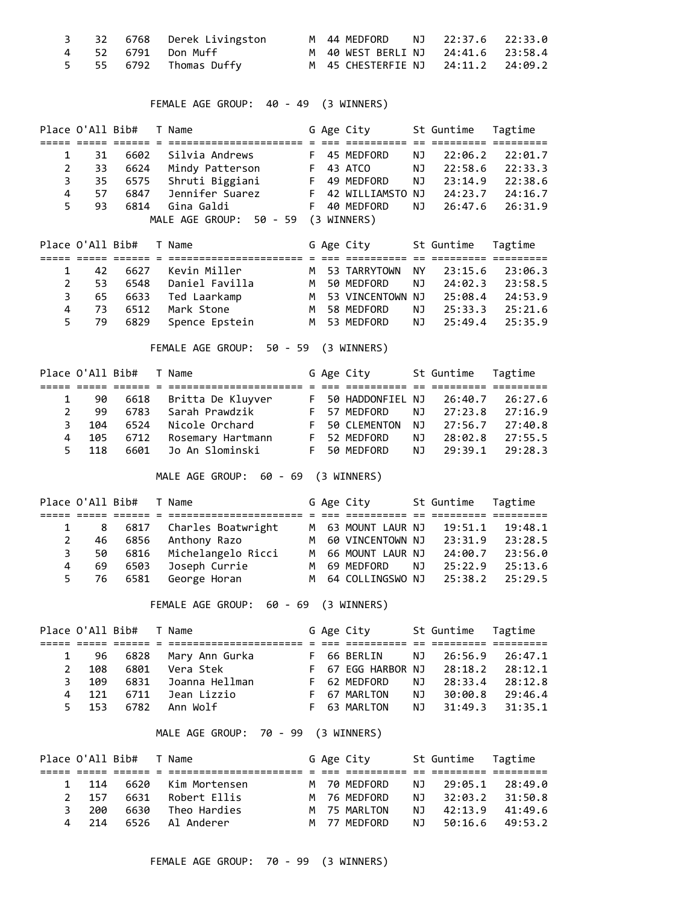|  | 3 32 6768 Derek Livingston |  | M 44 MEDFORD NJ 22:37.6 22:33.0    |  |  |
|--|----------------------------|--|------------------------------------|--|--|
|  | 4 52 6791 Don-Muff         |  | M 40 WEST BERLI NJ 24:41.6 23:58.4 |  |  |
|  | 5 55 6792 Thomas Duffy     |  | M 45 CHESTERFIE NJ 24:11.2 24:09.2 |  |  |

FEMALE AGE GROUP: 40 - 49 (3 WINNERS)

|    | Place O'All Bib# |      | T Name                  |    | G Age City         |    | St Guntime | Tagtime |
|----|------------------|------|-------------------------|----|--------------------|----|------------|---------|
|    |                  |      |                         |    |                    |    |            |         |
|    | 31               | 6602 | Silvia Andrews          | F. | 45 MEDFORD         | ΝJ | 22:06.2    | 22:01.7 |
| 2  | 33               | 6624 | Mindy Patterson         | F. | 43 ATCO            | ΝJ | 22:58.6    | 22:33.3 |
| 3. | 35               | 6575 | Shruti Biggiani         | F. | 49 MEDFORD         | ΝJ | 23:14.9    | 22:38.6 |
| 4  | 57               | 6847 | Jennifer Suarez         |    | F 42 WILLIAMSTO NJ |    | 24:23.7    | 24:16.7 |
|    | 93               | 6814 | Gina Galdi              | F. | 40 MEDFORD         | ΝJ | 26:47.6    | 26:31.9 |
|    |                  |      | MALE AGE GROUP: 50 - 59 |    | (3 WINNERS)        |    |            |         |

|   | Place O'All Bib# |      | T Name         |  | G Age City         |     | St Guntime | Tagtime |
|---|------------------|------|----------------|--|--------------------|-----|------------|---------|
|   |                  |      |                |  |                    |     |            |         |
|   | 42               | 6627 | Kevin Miller   |  | M 53 TARRYTOWN     | NY. | 23:15.6    | 23:06.3 |
|   | 53               | 6548 | Daniel Favilla |  | M 50 MEDFORD       | NJ. | 24:02.3    | 23:58.5 |
|   | 65               | 6633 | Ted Laarkamp   |  | M 53 VINCENTOWN NJ |     | 25:08.4    | 24:53.9 |
| 4 | -73              | 6512 | Mark Stone     |  | M 58 MEDFORD       | NJ. | 25:33.3    | 25:21.6 |
|   | 79               | 6829 | Spence Epstein |  | M 53 MEDFORD       | NJ. | 25:49.4    | 25:35.9 |

FEMALE AGE GROUP: 50 - 59 (3 WINNERS)

|               | Place O'All Bib# |      | T Name            |  | G Age City         |     | St Guntime | Tagtime |
|---------------|------------------|------|-------------------|--|--------------------|-----|------------|---------|
|               |                  |      |                   |  |                    |     |            |         |
|               | 90               | 6618 | Britta De Kluyver |  | F 50 HADDONFIEL NJ |     | 26:40.7    | 26:27.6 |
| $\mathcal{P}$ | 99               | 6783 | Sarah Prawdzik    |  | F 57 MEDFORD       | NJ. | 27:23.8    | 27:16.9 |
| 3.            | 104              | 6524 | Nicole Orchard    |  | F 50 CLEMENTON     | NJ. | 27:56.7    | 27:40.8 |
| 4             | 105              | 6712 | Rosemary Hartmann |  | F 52 MEDFORD       | NJ. | 28:02.8    | 27:55.5 |
| 5.            | 118              | 6601 | Jo An Slominski   |  | F 50 MEDFORD       | NJ. | 29:39.1    | 29:28.3 |

MALE AGE GROUP: 60 - 69 (3 WINNERS)

|    | Place O'All Bib# |      | T Name             |  | G Age City         |     | St Guntime | Tagtime |
|----|------------------|------|--------------------|--|--------------------|-----|------------|---------|
|    |                  |      |                    |  |                    |     |            |         |
|    | 1 8              | 6817 | Charles Boatwright |  | M 63 MOUNT LAUR NJ |     | 19:51.1    | 19:48.1 |
| 2  | 46               | 6856 | Anthony Razo       |  | M 60 VINCENTOWN NJ |     | 23:31.9    | 23:28.5 |
| 3  | 50               | 6816 | Michelangelo Ricci |  | M 66 MOUNT LAUR NJ |     | 24:00.7    | 23:56.0 |
| 4  | 69.              | 6503 | Joseph Currie      |  | M 69 MEDFORD       | NJ. | 25:22.9    | 25:13.6 |
| 5. | 76               | 6581 | George Horan       |  | M 64 COLLINGSWO NJ |     | 25:38.2    | 25:29.5 |

FEMALE AGE GROUP: 60 - 69 (3 WINNERS)

|               | Place O'All Bib# |      | T Name         |  | G Age City                 |      | St Guntime Tagtime |         |
|---------------|------------------|------|----------------|--|----------------------------|------|--------------------|---------|
|               |                  |      |                |  |                            |      |                    |         |
|               | 96               | 6828 | Mary Ann Gurka |  | F 66 BERLIN                | NJ   | 26:56.9            | 26:47.1 |
| $\mathcal{P}$ | 108              | 6801 | Vera Stek      |  | F 67 EGG HARBOR NJ 28:18.2 |      |                    | 28:12.1 |
| 3             | 109              | 6831 | Joanna Hellman |  | F 62 MEDFORD               | NJ.  | 28:33.4            | 28:12.8 |
| 4             | 121              | 6711 | Jean Lizzio    |  | F 67 MARLTON               | NJ N | 30:00.8            | 29:46.4 |
|               | 5 153            | 6782 | Ann Wolf       |  | F 63 MARLTON               | NJ.  | 31:49.3            | 31:35.1 |

MALE AGE GROUP: 70 - 99 (3 WINNERS)

|   | Place O'All Bib# |      | T Name        |  | G Age City   |      | St Guntime Tagtime |         |  |
|---|------------------|------|---------------|--|--------------|------|--------------------|---------|--|
|   |                  |      |               |  |              |      |                    |         |  |
|   | 1 114            | 6620 | Kim Mortensen |  | M 70 MEDFORD | NJ.  | 29:05.1            | 28:49.0 |  |
|   | 2 157            | 6631 | Robert Ellis  |  | M 76 MFDFORD | NJ 1 | 32:03.2            | 31:50.8 |  |
|   | 200<br>२         | 6630 | Theo Hardies  |  | M 75 MARITON | N T  | 42:13.9            | 41:49.6 |  |
| 4 | - 214            | 6526 | Al Anderer    |  | M 77 MFDFORD | NJ 1 | 50:16.6            | 49:53.2 |  |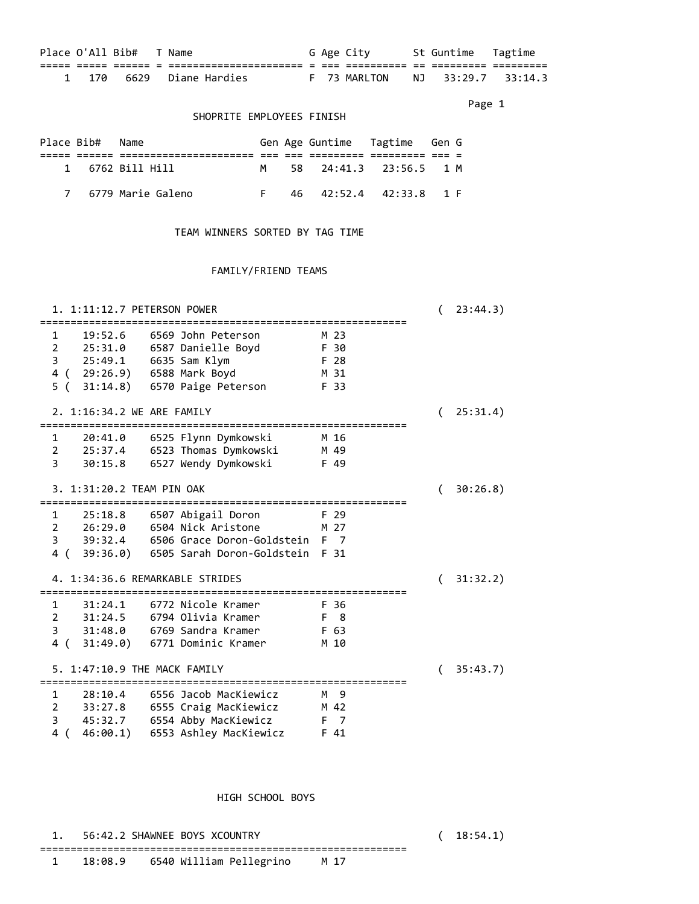| Place O'All Bib# |  | Name                 |            | G Age City   |      | St Guntime | Tagtime    |
|------------------|--|----------------------|------------|--------------|------|------------|------------|
|                  |  | ____________________ | ___<br>--- |              | $ -$ | ______     |            |
| 1 170            |  | 6629 Diane Hardies   |            | F 73 MARLTON |      | NJ 33:29.7 | $-33:14.3$ |

Page 1 and 2012 12:00 the contract of the contract of the contract of the contract of the contract of the contract of the contract of the contract of the contract of the contract of the contract of the contract of the cont

### SHOPRITE EMPLOYEES FINISH

| Place Bib# | Name                  |  | Gen Age Guntime Tagtime Gen G |  |  |
|------------|-----------------------|--|-------------------------------|--|--|
|            |                       |  |                               |  |  |
|            | 1 6762 Bill Hill      |  | 58 24:41.3 23:56.5 1 M        |  |  |
|            | 7   6779 Marie Galeno |  | 46 42:52.4 42:33.8 1 F        |  |  |

## TEAM WINNERS SORTED BY TAG TIME

### FAMILY/FRIEND TEAMS

| 1. 1:11:12.7 PETERSON POWER                     |                                                                                                                                                  |                                      |   | 23:44.3) |
|-------------------------------------------------|--------------------------------------------------------------------------------------------------------------------------------------------------|--------------------------------------|---|----------|
| 19:52.6<br>$\mathbf{1}$                         | 6569 John Peterson<br>2 25:31.0 6587 Danielle Boyd<br>3 25:49.1 6635 Sam Klym<br>4 ( 29:26.9) 6588 Mark Boyd<br>5 ( 31:14.8) 6570 Paige Peterson | M 23<br>F 30<br>F 28<br>M 31<br>F 33 |   |          |
| 2. 1:16:34.2 WE ARE FAMILY                      |                                                                                                                                                  |                                      | ( | 25:31.4) |
|                                                 | 1 20:41.0 6525 Flynn Dymkowski<br>2 25:37.4 6523 Thomas Dymkowski<br>3 30:15.8 6527 Wendy Dymkowski                                              | M 16<br>M 49<br>F 49                 |   |          |
| 3. 1:31:20.2 TEAM PIN OAK                       |                                                                                                                                                  |                                      |   | 30:26.8) |
| $\mathbf{1}$<br>4. 1:34:36.6 REMARKABLE STRIDES | 2  26:29.0  6504  Nick Aristone<br>3 39:32.4 6506 Grace Doron-Goldstein F 7<br>4 ( 39:36.0) 6505 Sarah Doron-Goldstein F 31                      | F 29<br>M 27                         |   |          |
|                                                 |                                                                                                                                                  |                                      |   | 31:32.2) |
| 31:24.1<br>$1 \quad \blacksquare$               | 6772 Nicole Kramer<br>2 31:24.5 6794 Olivia Kramer<br>3 31:48.0 6769 Sandra Kramer<br>4 (31:49.0) 6771 Dominic Kramer                            | F 36<br>F 8<br>F 63<br>M 10          |   |          |
| 5. 1:47:10.9 THE MACK FAMILY                    |                                                                                                                                                  |                                      | ( | 35:43.7) |
|                                                 | 1 28:10.4 6556 Jacob MacKiewicz<br>2 33:27.8 6555 Craig MacKiewicz<br>3 45:32.7 6554 Abby MacKiewicz<br>4 ( 46:00.1) 6553 Ashley MacKiewicz      | M 9<br>M 42<br>F 7<br>F 41           |   |          |

### HIGH SCHOOL BOYS

|  | 1. 56:42.2 SHAWNEE BOYS XCOUNTRY              |  | (18:54.1) |
|--|-----------------------------------------------|--|-----------|
|  | 18:08.9     6540 William Pellegrino      M 17 |  |           |